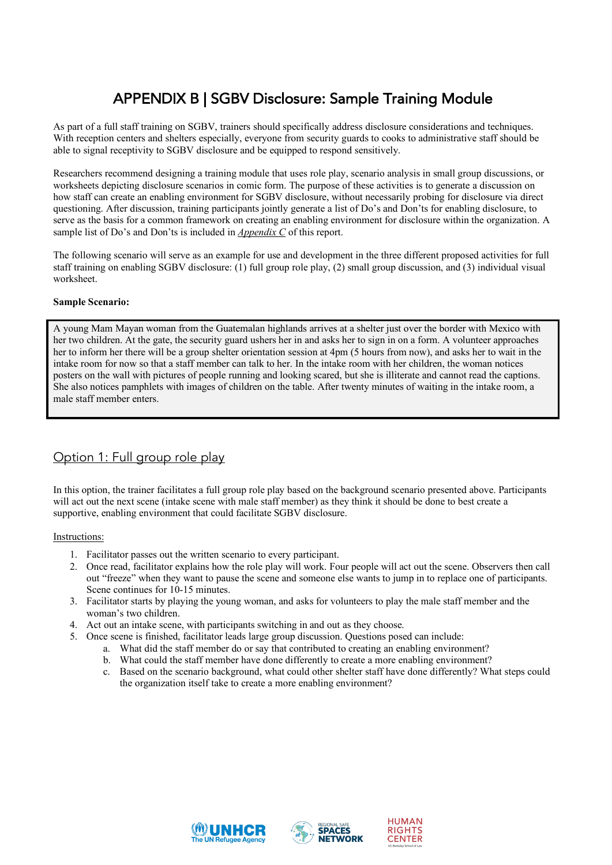# APPENDIX B | SGBV Disclosure: Sample Training Module

As part of a full staff training on SGBV, trainers should specifically address disclosure considerations and techniques. With reception centers and shelters especially, everyone from security guards to cooks to administrative staff should be able to signal receptivity to SGBV disclosure and be equipped to respond sensitively.

Researchers recommend designing a training module that uses role play, scenario analysis in small group discussions, or worksheets depicting disclosure scenarios in comic form. The purpose of these activities is to generate a discussion on how staff can create an enabling environment for SGBV disclosure, without necessarily probing for disclosure via direct questioning. After discussion, training participants jointly generate a list of Do's and Don'ts for enabling disclosure, to serve as the basis for a common framework on creating an enabling environment for disclosure within the organization. A sample list of Do's and Don'ts is included in *Appendix C* of this report.

The following scenario will serve as an example for use and development in the three different proposed activities for full staff training on enabling SGBV disclosure: (1) full group role play, (2) small group discussion, and (3) individual visual worksheet.

### **Sample Scenario:**

A young Mam Mayan woman from the Guatemalan highlands arrives at a shelter just over the border with Mexico with her two children. At the gate, the security guard ushers her in and asks her to sign in on a form. A volunteer approaches her to inform her there will be a group shelter orientation session at 4pm (5 hours from now), and asks her to wait in the intake room for now so that a staff member can talk to her. In the intake room with her children, the woman notices posters on the wall with pictures of people running and looking scared, but she is illiterate and cannot read the captions. She also notices pamphlets with images of children on the table. After twenty minutes of waiting in the intake room, a male staff member enters.

# Option 1: Full group role play

In this option, the trainer facilitates a full group role play based on the background scenario presented above. Participants will act out the next scene (intake scene with male staff member) as they think it should be done to best create a supportive, enabling environment that could facilitate SGBV disclosure.

### Instructions:

- 1. Facilitator passes out the written scenario to every participant.
- 2. Once read, facilitator explains how the role play will work. Four people will act out the scene. Observers then call out "freeze" when they want to pause the scene and someone else wants to jump in to replace one of participants. Scene continues for 10-15 minutes.
- 3. Facilitator starts by playing the young woman, and asks for volunteers to play the male staff member and the woman's two children.
- 4. Act out an intake scene, with participants switching in and out as they choose.
- 5. Once scene is finished, facilitator leads large group discussion. Questions posed can include:
	- a. What did the staff member do or say that contributed to creating an enabling environment?
	- b. What could the staff member have done differently to create a more enabling environment?
	- c. Based on the scenario background, what could other shelter staff have done differently? What steps could the organization itself take to create a more enabling environment?





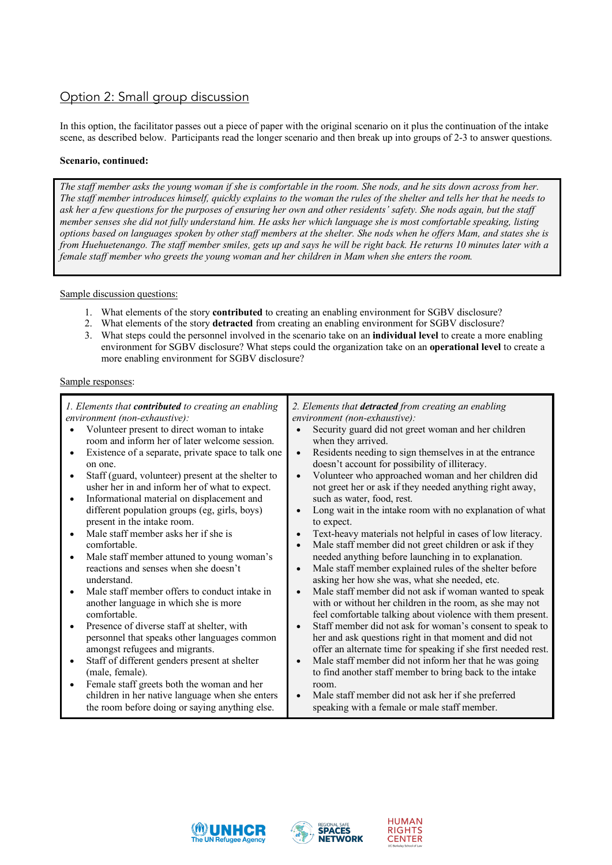## Option 2: Small group discussion

In this option, the facilitator passes out a piece of paper with the original scenario on it plus the continuation of the intake scene, as described below. Participants read the longer scenario and then break up into groups of 2-3 to answer questions.

### **Scenario, continued:**

*The staff member asks the young woman if she is comfortable in the room. She nods, and he sits down across from her. The staff member introduces himself, quickly explains to the woman the rules of the shelter and tells her that he needs to ask her a few questions for the purposes of ensuring her own and other residents' safety. She nods again, but the staff member senses she did not fully understand him. He asks her which language she is most comfortable speaking, listing options based on languages spoken by other staff members at the shelter. She nods when he offers Mam, and states she is from Huehuetenango. The staff member smiles, gets up and says he will be right back. He returns 10 minutes later with a female staff member who greets the young woman and her children in Mam when she enters the room.* 

Sample discussion questions:

- 1. What elements of the story **contributed** to creating an enabling environment for SGBV disclosure?
- 2. What elements of the story **detracted** from creating an enabling environment for SGBV disclosure?
- 3. What steps could the personnel involved in the scenario take on an **individual level** to create a more enabling environment for SGBV disclosure? What steps could the organization take on an **operational level** to create a more enabling environment for SGBV disclosure?

### Sample responses:

| 1. Elements that <b>contributed</b> to creating an enabling<br>environment (non-exhaustive):<br>Volunteer present to direct woman to intake<br>room and inform her of later welcome session.<br>Existence of a separate, private space to talk one<br>٠<br>on one.<br>Staff (guard, volunteer) present at the shelter to<br>٠<br>usher her in and inform her of what to expect. | 2. Elements that detracted from creating an enabling<br>environment (non-exhaustive):<br>Security guard did not greet woman and her children<br>when they arrived.<br>Residents needing to sign themselves in at the entrance<br>$\bullet$<br>doesn't account for possibility of illiteracy.<br>Volunteer who approached woman and her children did<br>$\bullet$<br>not greet her or ask if they needed anything right away, |
|---------------------------------------------------------------------------------------------------------------------------------------------------------------------------------------------------------------------------------------------------------------------------------------------------------------------------------------------------------------------------------|------------------------------------------------------------------------------------------------------------------------------------------------------------------------------------------------------------------------------------------------------------------------------------------------------------------------------------------------------------------------------------------------------------------------------|
| Informational material on displacement and<br>$\bullet$                                                                                                                                                                                                                                                                                                                         | such as water, food, rest.                                                                                                                                                                                                                                                                                                                                                                                                   |
| different population groups (eg, girls, boys)<br>present in the intake room.                                                                                                                                                                                                                                                                                                    | Long wait in the intake room with no explanation of what<br>$\bullet$                                                                                                                                                                                                                                                                                                                                                        |
| Male staff member asks her if she is<br>$\bullet$                                                                                                                                                                                                                                                                                                                               | to expect.<br>Text-heavy materials not helpful in cases of low literacy.                                                                                                                                                                                                                                                                                                                                                     |
| comfortable.                                                                                                                                                                                                                                                                                                                                                                    | Male staff member did not greet children or ask if they<br>$\bullet$                                                                                                                                                                                                                                                                                                                                                         |
| Male staff member attuned to young woman's<br>$\bullet$                                                                                                                                                                                                                                                                                                                         | needed anything before launching in to explanation.                                                                                                                                                                                                                                                                                                                                                                          |
| reactions and senses when she doesn't                                                                                                                                                                                                                                                                                                                                           | Male staff member explained rules of the shelter before<br>$\bullet$                                                                                                                                                                                                                                                                                                                                                         |
| understand.                                                                                                                                                                                                                                                                                                                                                                     | asking her how she was, what she needed, etc.                                                                                                                                                                                                                                                                                                                                                                                |
| Male staff member offers to conduct intake in<br>$\bullet$                                                                                                                                                                                                                                                                                                                      | Male staff member did not ask if woman wanted to speak<br>$\bullet$                                                                                                                                                                                                                                                                                                                                                          |
| another language in which she is more                                                                                                                                                                                                                                                                                                                                           | with or without her children in the room, as she may not                                                                                                                                                                                                                                                                                                                                                                     |
| comfortable.                                                                                                                                                                                                                                                                                                                                                                    | feel comfortable talking about violence with them present.                                                                                                                                                                                                                                                                                                                                                                   |
| Presence of diverse staff at shelter, with<br>$\bullet$                                                                                                                                                                                                                                                                                                                         | Staff member did not ask for woman's consent to speak to<br>$\bullet$                                                                                                                                                                                                                                                                                                                                                        |
| personnel that speaks other languages common                                                                                                                                                                                                                                                                                                                                    | her and ask questions right in that moment and did not                                                                                                                                                                                                                                                                                                                                                                       |
| amongst refugees and migrants.                                                                                                                                                                                                                                                                                                                                                  | offer an alternate time for speaking if she first needed rest.                                                                                                                                                                                                                                                                                                                                                               |
| Staff of different genders present at shelter<br>$\bullet$                                                                                                                                                                                                                                                                                                                      | Male staff member did not inform her that he was going<br>$\bullet$                                                                                                                                                                                                                                                                                                                                                          |
| (male, female).                                                                                                                                                                                                                                                                                                                                                                 | to find another staff member to bring back to the intake                                                                                                                                                                                                                                                                                                                                                                     |
| Female staff greets both the woman and her<br>$\bullet$                                                                                                                                                                                                                                                                                                                         | room.                                                                                                                                                                                                                                                                                                                                                                                                                        |
| children in her native language when she enters                                                                                                                                                                                                                                                                                                                                 | Male staff member did not ask her if she preferred<br>$\bullet$                                                                                                                                                                                                                                                                                                                                                              |
| the room before doing or saying anything else.                                                                                                                                                                                                                                                                                                                                  | speaking with a female or male staff member.                                                                                                                                                                                                                                                                                                                                                                                 |